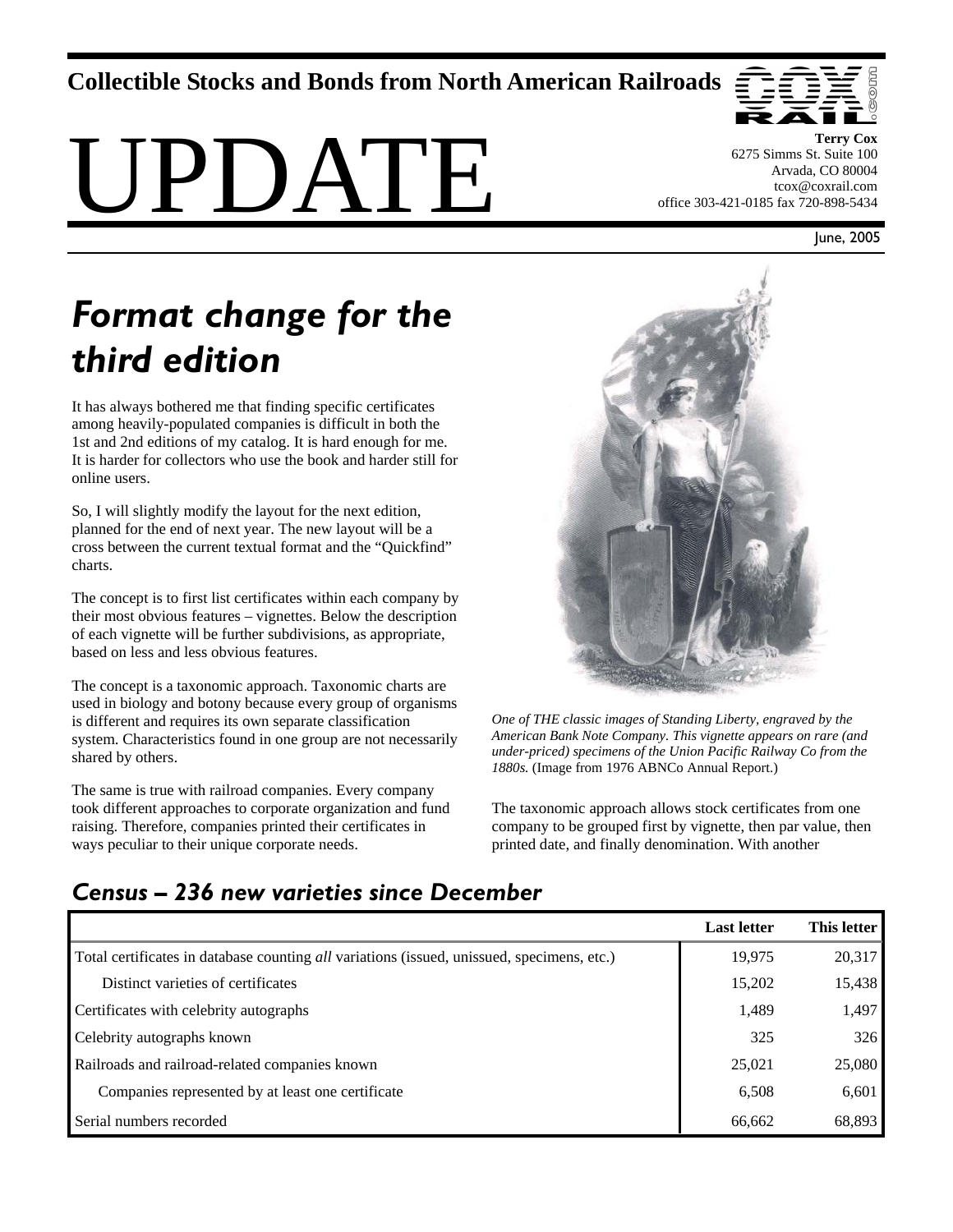# **Collectible Stocks and Bonds from North American Railroads**





**Terry Cox**  6275 Simms St. Suite 100 Arvada, CO 80004 tcox@coxrail.com office 303-421-0185 fax 720-898-5434

June, 2005

# *Format change for the third edition*

It has always bothered me that finding specific certificates among heavily-populated companies is difficult in both the 1st and 2nd editions of my catalog. It is hard enough for me. It is harder for collectors who use the book and harder still for online users.

So, I will slightly modify the layout for the next edition, planned for the end of next year. The new layout will be a cross between the current textual format and the "Quickfind" charts.

The concept is to first list certificates within each company by their most obvious features – vignettes. Below the description of each vignette will be further subdivisions, as appropriate, based on less and less obvious features.

The concept is a taxonomic approach. Taxonomic charts are used in biology and botony because every group of organisms is different and requires its own separate classification system. Characteristics found in one group are not necessarily shared by others.

The same is true with railroad companies. Every company took different approaches to corporate organization and fund raising. Therefore, companies printed their certificates in ways peculiar to their unique corporate needs.



*One of THE classic images of Standing Liberty, engraved by the American Bank Note Company. This vignette appears on rare (and under-priced) specimens of the Union Pacific Railway Co from the 1880s.* (Image from 1976 ABNCo Annual Report.)

The taxonomic approach allows stock certificates from one company to be grouped first by vignette, then par value, then printed date, and finally denomination. With another

# *Census – 236 new varieties since December*

|                                                                                            | <b>Last letter</b> | This letter |
|--------------------------------------------------------------------------------------------|--------------------|-------------|
| Total certificates in database counting all variations (issued, unissued, specimens, etc.) | 19,975             | 20,317      |
| Distinct varieties of certificates                                                         | 15,202             | 15,438      |
| Certificates with celebrity autographs                                                     | 1,489              | 1,497       |
| Celebrity autographs known                                                                 | 325                | 326         |
| Railroads and railroad-related companies known                                             | 25,021             | 25,080      |
| Companies represented by at least one certificate                                          | 6,508              | 6,601       |
| Serial numbers recorded                                                                    | 66,662             | 68,893      |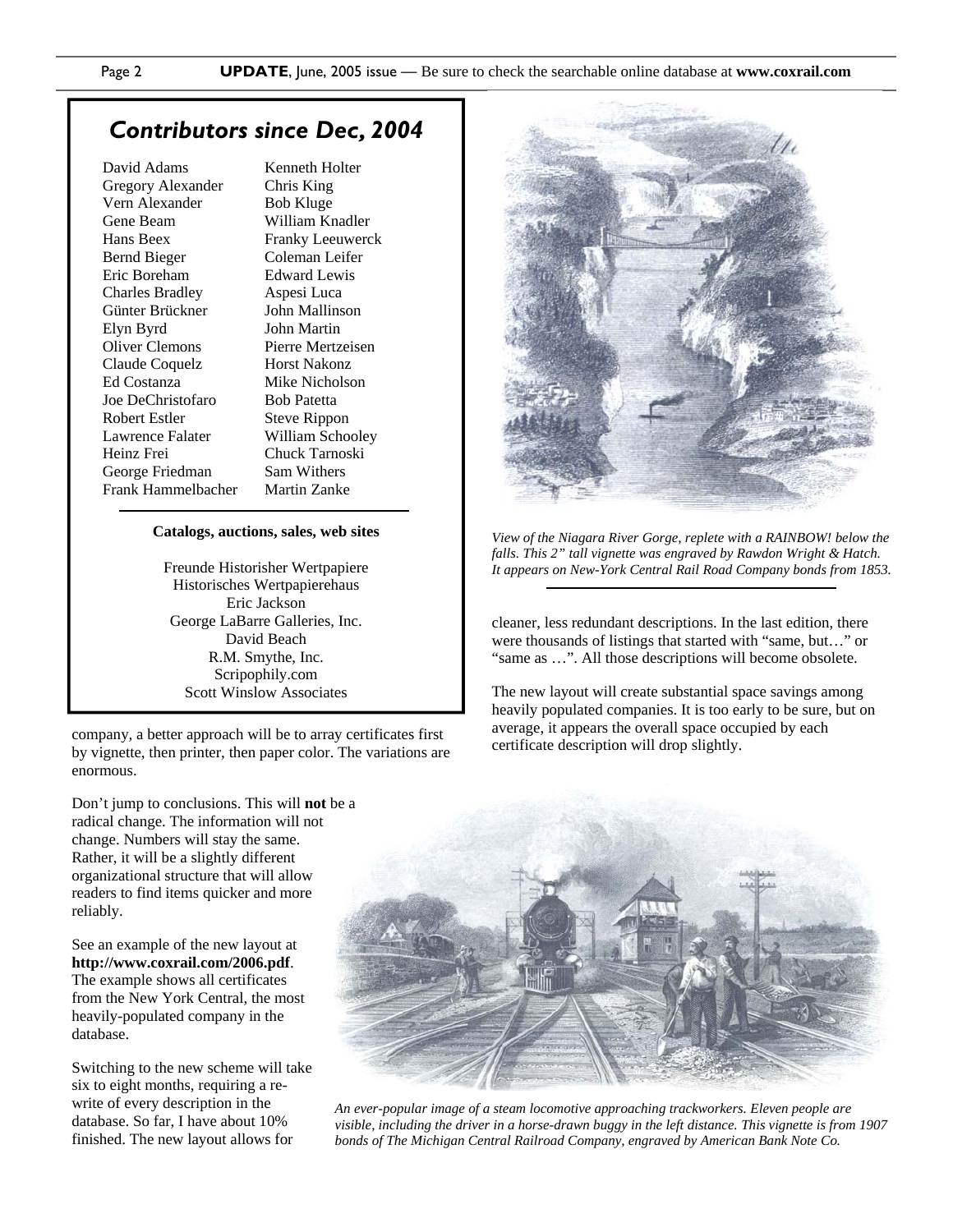### *Contributors since Dec, 2004*

David Adams Gregory Alexander Vern Alexander Gene Beam Hans Beex Bernd Bieger Eric Boreham Charles Bradley Günter Brückner Elyn Byrd Oliver Clemons Claude Coquelz Ed Costanza Joe DeChristofaro Robert Estler Lawrence Falater Heinz Frei George Friedman Frank Hammelbacher Kenneth Holter Chris King Bob Kluge William Knadler Franky Leeuwerck Coleman Leifer Edward Lewis Aspesi Luca John Mallinson John Martin Pierre Mertzeisen Horst Nakonz Mike Nicholson Bob Patetta Steve Rippon William Schooley Chuck Tarnoski Sam Withers Martin Zanke

#### **Catalogs, auctions, sales, web sites**

Freunde Historisher Wertpapiere Historisches Wertpapierehaus Eric Jackson George LaBarre Galleries, Inc. David Beach R.M. Smythe, Inc. Scripophily.com Scott Winslow Associates

company, a better approach will be to array certificates first by vignette, then printer, then paper color. The variations are enormous.

Don't jump to conclusions. This will **not** be a radical change. The information will not change. Numbers will stay the same. Rather, it will be a slightly different organizational structure that will allow readers to find items quicker and more reliably.

See an example of the new layout at **http://www.coxrail.com/2006.pdf**. The example shows all certificates from the New York Central, the most heavily-populated company in the database.

Switching to the new scheme will take six to eight months, requiring a rewrite of every description in the database. So far, I have about 10% finished. The new layout allows for



*View of the Niagara River Gorge, replete with a RAINBOW! below the falls. This 2" tall vignette was engraved by Rawdon Wright & Hatch. It appears on New-York Central Rail Road Company bonds from 1853.* 

cleaner, less redundant descriptions. In the last edition, there were thousands of listings that started with "same, but…" or "same as …". All those descriptions will become obsolete.

The new layout will create substantial space savings among heavily populated companies. It is too early to be sure, but on average, it appears the overall space occupied by each certificate description will drop slightly.



*An ever-popular image of a steam locomotive approaching trackworkers. Eleven people are visible, including the driver in a horse-drawn buggy in the left distance. This vignette is from 1907 bonds of The Michigan Central Railroad Company, engraved by American Bank Note Co.*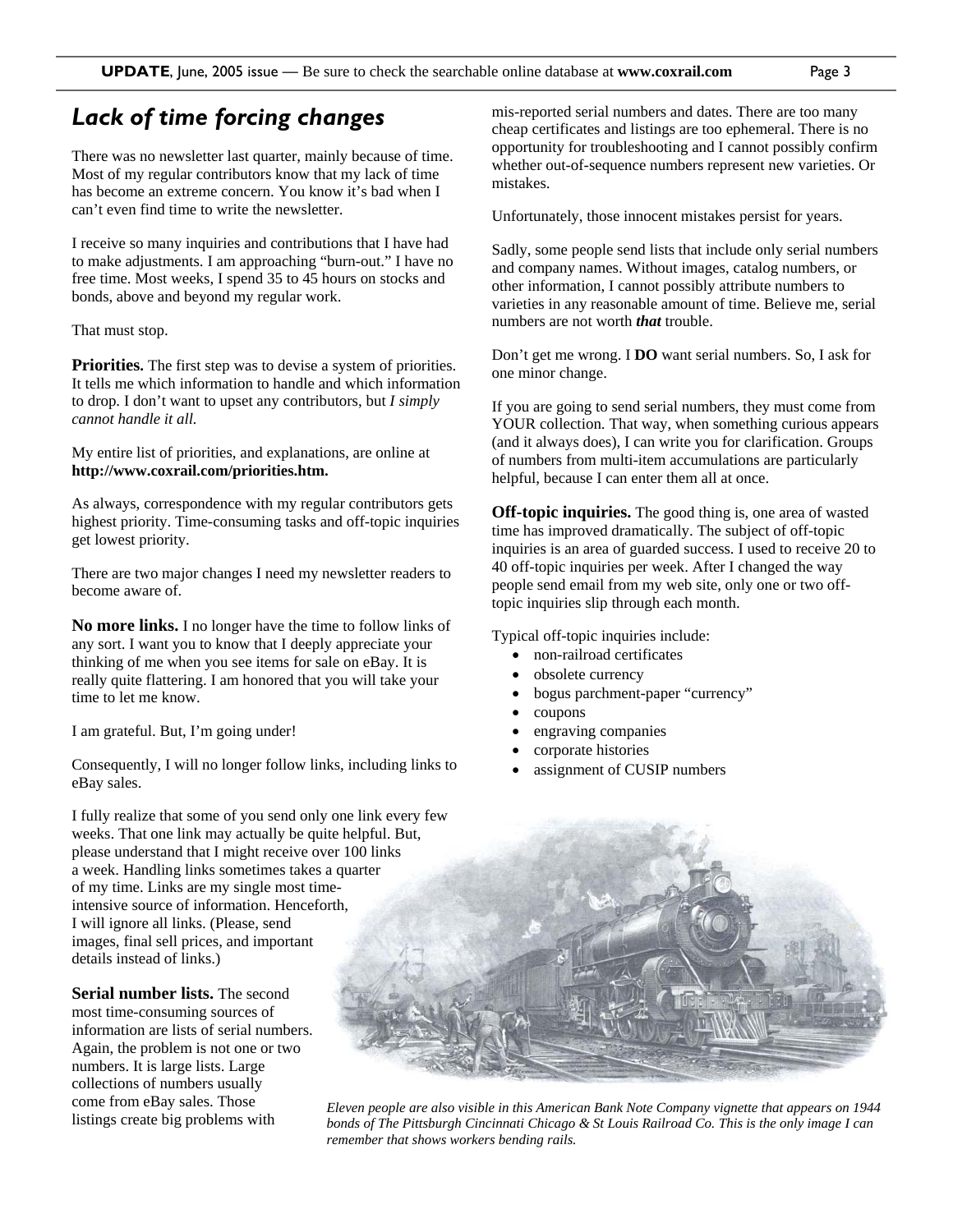## *Lack of time forcing changes*

There was no newsletter last quarter, mainly because of time. Most of my regular contributors know that my lack of time has become an extreme concern. You know it's bad when I can't even find time to write the newsletter.

I receive so many inquiries and contributions that I have had to make adjustments. I am approaching "burn-out." I have no free time. Most weeks, I spend 35 to 45 hours on stocks and bonds, above and beyond my regular work.

#### That must stop.

**Priorities.** The first step was to devise a system of priorities. It tells me which information to handle and which information to drop. I don't want to upset any contributors, but *I simply cannot handle it all.* 

My entire list of priorities, and explanations, are online at **http://www.coxrail.com/priorities.htm.**

As always, correspondence with my regular contributors gets highest priority. Time-consuming tasks and off-topic inquiries get lowest priority.

There are two major changes I need my newsletter readers to become aware of.

**No more links.** I no longer have the time to follow links of any sort. I want you to know that I deeply appreciate your thinking of me when you see items for sale on eBay. It is really quite flattering. I am honored that you will take your time to let me know.

I am grateful. But, I'm going under!

Consequently, I will no longer follow links, including links to eBay sales.

I fully realize that some of you send only one link every few weeks. That one link may actually be quite helpful. But, please understand that I might receive over 100 links a week. Handling links sometimes takes a quarter of my time. Links are my single most timeintensive source of information. Henceforth, I will ignore all links. (Please, send images, final sell prices, and important details instead of links.)

**Serial number lists.** The second most time-consuming sources of information are lists of serial numbers. Again, the problem is not one or two numbers. It is large lists. Large collections of numbers usually come from eBay sales. Those listings create big problems with

mis-reported serial numbers and dates. There are too many cheap certificates and listings are too ephemeral. There is no opportunity for troubleshooting and I cannot possibly confirm whether out-of-sequence numbers represent new varieties. Or mistakes.

Unfortunately, those innocent mistakes persist for years.

Sadly, some people send lists that include only serial numbers and company names. Without images, catalog numbers, or other information, I cannot possibly attribute numbers to varieties in any reasonable amount of time. Believe me, serial numbers are not worth *that* trouble.

Don't get me wrong. I **DO** want serial numbers. So, I ask for one minor change.

If you are going to send serial numbers, they must come from YOUR collection. That way, when something curious appears (and it always does), I can write you for clarification. Groups of numbers from multi-item accumulations are particularly helpful, because I can enter them all at once.

**Off-topic inquiries.** The good thing is, one area of wasted time has improved dramatically. The subject of off-topic inquiries is an area of guarded success. I used to receive 20 to 40 off-topic inquiries per week. After I changed the way people send email from my web site, only one or two offtopic inquiries slip through each month.

Typical off-topic inquiries include:

- non-railroad certificates
- obsolete currency
- bogus parchment-paper "currency"
- coupons
- engraving companies
- corporate histories
- assignment of CUSIP numbers



*Eleven people are also visible in this American Bank Note Company vignette that appears on 1944 bonds of The Pittsburgh Cincinnati Chicago & St Louis Railroad Co. This is the only image I can remember that shows workers bending rails.*